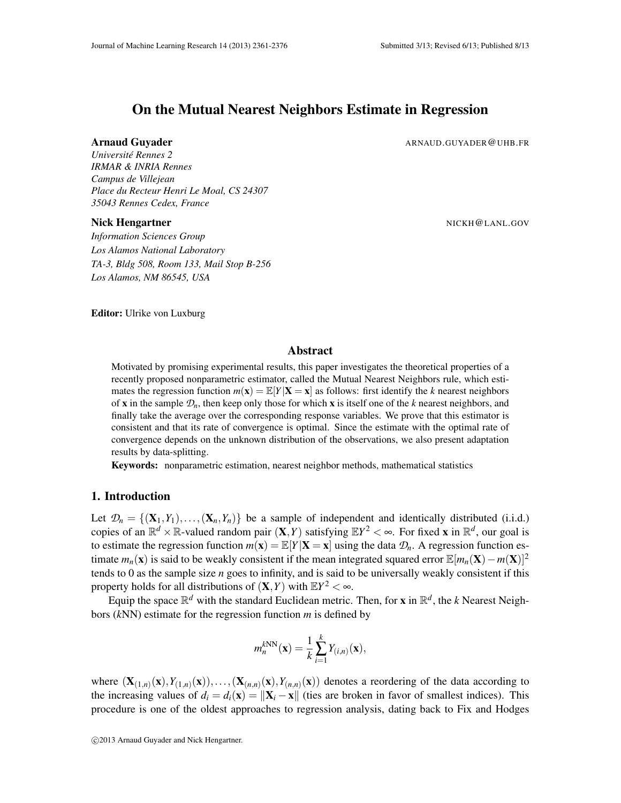# On the Mutual Nearest Neighbors Estimate in Regression

#### **Arnaud Guyader** ARNAUD.GUYADER@UHB.FR

*Universite Rennes 2 ´ IRMAR & INRIA Rennes Campus de Villejean Place du Recteur Henri Le Moal, CS 24307 35043 Rennes Cedex, France*

#### Nick Hengartner National Action of the Contract of the NICKH@LANL.GOV

*Information Sciences Group Los Alamos National Laboratory TA-3, Bldg 508, Room 133, Mail Stop B-256 Los Alamos, NM 86545, USA*

Editor: Ulrike von Luxburg

## Abstract

Motivated by promising experimental results, this paper investigates the theoretical properties of a recently proposed nonparametric estimator, called the Mutual Nearest Neighbors rule, which estimates the regression function  $m(\mathbf{x}) = \mathbb{E}[Y|\mathbf{X} = \mathbf{x}]$  as follows: first identify the *k* nearest neighbors of x in the sample *Dn*, then keep only those for which x is itself one of the *k* nearest neighbors, and finally take the average over the corresponding response variables. We prove that this estimator is consistent and that its rate of convergence is optimal. Since the estimate with the optimal rate of convergence depends on the unknown distribution of the observations, we also present adaptation results by data-splitting.

Keywords: nonparametric estimation, nearest neighbor methods, mathematical statistics

## 1. Introduction

Let  $\mathcal{D}_n = \{(\mathbf{X}_1, Y_1), \ldots, (\mathbf{X}_n, Y_n)\}\$  be a sample of independent and identically distributed (i.i.d.) copies of an  $\mathbb{R}^d \times \mathbb{R}$ -valued random pair  $(X, Y)$  satisfying  $\mathbb{E}Y^2 < \infty$ . For fixed **x** in  $\mathbb{R}^d$ , our goal is to estimate the regression function  $m(\mathbf{x}) = \mathbb{E}[Y|\mathbf{X} = \mathbf{x}]$  using the data  $\mathcal{D}_n$ . A regression function estimate  $m_n(\mathbf{x})$  is said to be weakly consistent if the mean integrated squared error  $\mathbb{E}[m_n(\mathbf{X}) - m(\mathbf{X})]^2$ tends to 0 as the sample size *n* goes to infinity, and is said to be universally weakly consistent if this property holds for all distributions of  $(X, Y)$  with  $EY^2 < \infty$ .

Equip the space  $\mathbb{R}^d$  with the standard Euclidean metric. Then, for **x** in  $\mathbb{R}^d$ , the *k* Nearest Neighbors (*k*NN) estimate for the regression function *m* is defined by

$$
m_n^{kNN}(\mathbf{x}) = \frac{1}{k} \sum_{i=1}^k Y_{(i,n)}(\mathbf{x}),
$$

where  $(\mathbf{X}_{(1,n)}(\mathbf{x}), Y_{(1,n)}(\mathbf{x})), \ldots, (\mathbf{X}_{(n,n)}(\mathbf{x}), Y_{(n,n)}(\mathbf{x}))$  denotes a reordering of the data according to the increasing values of  $d_i = d_i(\mathbf{x}) = ||\mathbf{X}_i - \mathbf{x}||$  (ties are broken in favor of smallest indices). This procedure is one of the oldest approaches to regression analysis, dating back to Fix and Hodges

c 2013 Arnaud Guyader and Nick Hengartner.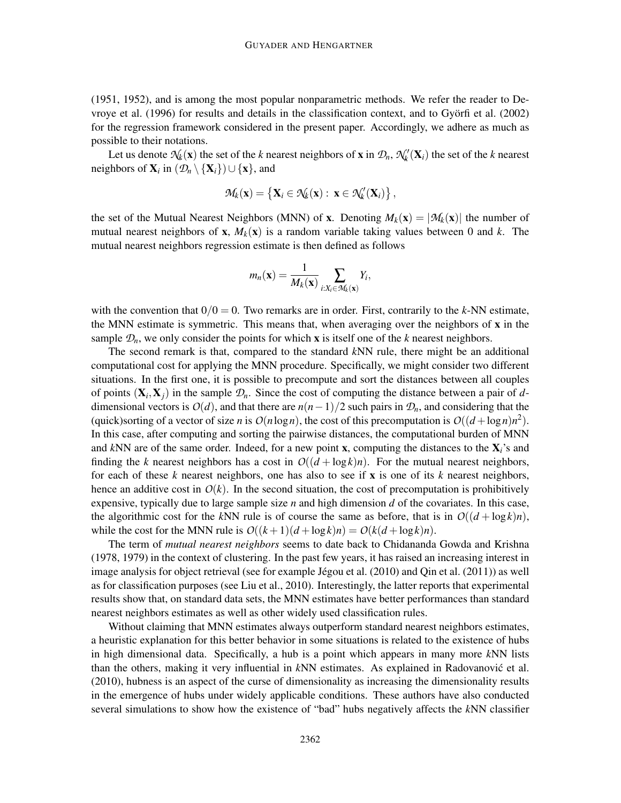(1951, 1952), and is among the most popular nonparametric methods. We refer the reader to Devroye et al. (1996) for results and details in the classification context, and to Gyorfi et al. (2002) ¨ for the regression framework considered in the present paper. Accordingly, we adhere as much as possible to their notations.

Let us denote  $\mathcal{N}_k(\mathbf{x})$  the set of the *k* nearest neighbors of **x** in  $\mathcal{D}_n$ ,  $\mathcal{N}'_k(\mathbf{X}_i)$  the set of the *k* nearest neighbors of  $\mathbf{X}_i$  in  $(\mathcal{D}_n \setminus {\{\mathbf{X}_i\}}) \cup {\{\mathbf{x}\}},$  and

$$
\mathcal{M}_k(\mathbf{x}) = \left\{ \mathbf{X}_i \in \mathcal{N}_k(\mathbf{x}) : \ \mathbf{x} \in \mathcal{N}'_k(\mathbf{X}_i) \right\},
$$

the set of the Mutual Nearest Neighbors (MNN) of **x**. Denoting  $M_k(\mathbf{x}) = |\mathcal{M}_k(\mathbf{x})|$  the number of mutual nearest neighbors of **x**,  $M_k(\mathbf{x})$  is a random variable taking values between 0 and k. The mutual nearest neighbors regression estimate is then defined as follows

$$
m_n(\mathbf{x}) = \frac{1}{M_k(\mathbf{x})} \sum_{i:X_i \in \mathcal{M}_k(\mathbf{x})} Y_i,
$$

with the convention that  $0/0 = 0$ . Two remarks are in order. First, contrarily to the *k*-NN estimate, the MNN estimate is symmetric. This means that, when averaging over the neighbors of  $x$  in the sample  $\mathcal{D}_n$ , we only consider the points for which **x** is itself one of the *k* nearest neighbors.

The second remark is that, compared to the standard *k*NN rule, there might be an additional computational cost for applying the MNN procedure. Specifically, we might consider two different situations. In the first one, it is possible to precompute and sort the distances between all couples of points  $(X_i, X_j)$  in the sample  $\mathcal{D}_n$ . Since the cost of computing the distance between a pair of *d*dimensional vectors is  $O(d)$ , and that there are  $n(n-1)/2$  such pairs in  $\mathcal{D}_n$ , and considering that the (quick)sorting of a vector of size *n* is  $O(n \log n)$ , the cost of this precomputation is  $O((d + \log n)n^2)$ . In this case, after computing and sorting the pairwise distances, the computational burden of MNN and *k*NN are of the same order. Indeed, for a new point x, computing the distances to the X*i*'s and finding the *k* nearest neighbors has a cost in  $O((d + \log k)n)$ . For the mutual nearest neighbors, for each of these *k* nearest neighbors, one has also to see if x is one of its *k* nearest neighbors, hence an additive cost in  $O(k)$ . In the second situation, the cost of precomputation is prohibitively expensive, typically due to large sample size *n* and high dimension *d* of the covariates. In this case, the algorithmic cost for the kNN rule is of course the same as before, that is in  $O((d + \log k)n)$ , while the cost for the MNN rule is  $O((k+1)(d + \log k)n) = O(k(d + \log k)n)$ .

The term of *mutual nearest neighbors* seems to date back to Chidananda Gowda and Krishna (1978, 1979) in the context of clustering. In the past few years, it has raised an increasing interest in image analysis for object retrieval (see for example Jégou et al.  $(2010)$  and Qin et al.  $(2011)$ ) as well as for classification purposes (see Liu et al., 2010). Interestingly, the latter reports that experimental results show that, on standard data sets, the MNN estimates have better performances than standard nearest neighbors estimates as well as other widely used classification rules.

Without claiming that MNN estimates always outperform standard nearest neighbors estimates, a heuristic explanation for this better behavior in some situations is related to the existence of hubs in high dimensional data. Specifically, a hub is a point which appears in many more *k*NN lists than the others, making it very influential in *k*NN estimates. As explained in Radovanovic et al. ´ (2010), hubness is an aspect of the curse of dimensionality as increasing the dimensionality results in the emergence of hubs under widely applicable conditions. These authors have also conducted several simulations to show how the existence of "bad" hubs negatively affects the *k*NN classifier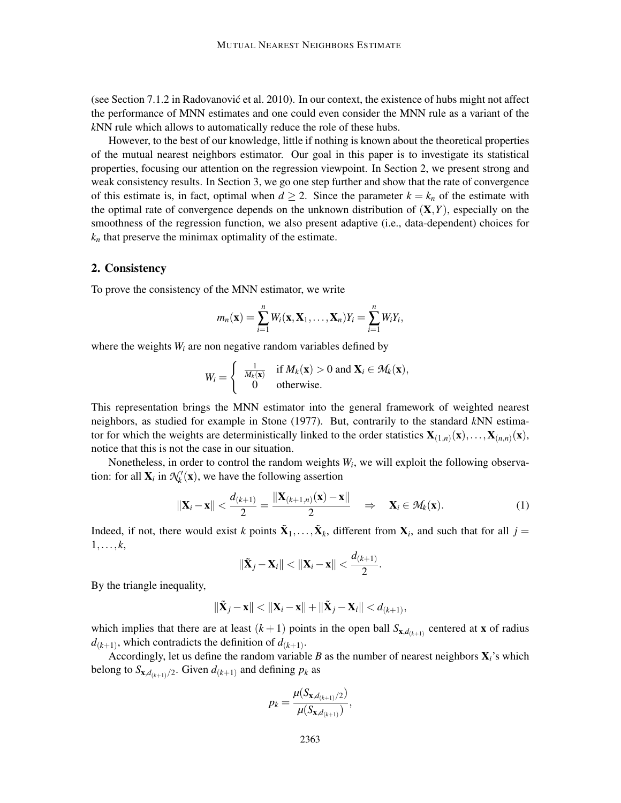(see Section 7.1.2 in Radovanovic et al. 2010). In our context, the existence of hubs might not affect ´ the performance of MNN estimates and one could even consider the MNN rule as a variant of the *k*NN rule which allows to automatically reduce the role of these hubs.

However, to the best of our knowledge, little if nothing is known about the theoretical properties of the mutual nearest neighbors estimator. Our goal in this paper is to investigate its statistical properties, focusing our attention on the regression viewpoint. In Section 2, we present strong and weak consistency results. In Section 3, we go one step further and show that the rate of convergence of this estimate is, in fact, optimal when  $d \ge 2$ . Since the parameter  $k = k_n$  of the estimate with the optimal rate of convergence depends on the unknown distribution of  $(X, Y)$ , especially on the smoothness of the regression function, we also present adaptive (i.e., data-dependent) choices for  $k_n$  that preserve the minimax optimality of the estimate.

# 2. Consistency

To prove the consistency of the MNN estimator, we write

$$
m_n(\mathbf{x}) = \sum_{i=1}^n W_i(\mathbf{x}, \mathbf{X}_1, \dots, \mathbf{X}_n) Y_i = \sum_{i=1}^n W_i Y_i,
$$

where the weights  $W_i$  are non negative random variables defined by

$$
W_i = \begin{cases} \frac{1}{M_k(\mathbf{x})} & \text{if } M_k(\mathbf{x}) > 0 \text{ and } \mathbf{X}_i \in \mathcal{M}_k(\mathbf{x}), \\ 0 & \text{otherwise.} \end{cases}
$$

This representation brings the MNN estimator into the general framework of weighted nearest neighbors, as studied for example in Stone (1977). But, contrarily to the standard *k*NN estimator for which the weights are deterministically linked to the order statistics  $X_{(1,n)}(x),...,X_{(n,n)}(x),$ notice that this is not the case in our situation.

Nonetheless, in order to control the random weights  $W_i$ , we will exploit the following observation: for all  $\mathbf{X}_i$  in  $\mathcal{N}'_k(\mathbf{x})$ , we have the following assertion

$$
\|\mathbf{X}_i - \mathbf{x}\| < \frac{d_{(k+1)}}{2} = \frac{\|\mathbf{X}_{(k+1,n)}(\mathbf{x}) - \mathbf{x}\|}{2} \quad \Rightarrow \quad \mathbf{X}_i \in \mathcal{M}_k(\mathbf{x}). \tag{1}
$$

Indeed, if not, there would exist *k* points  $\tilde{\mathbf{X}}_1, \ldots, \tilde{\mathbf{X}}_k$ , different from  $\mathbf{X}_i$ , and such that for all  $j =$  $1,\ldots,k$ ,

$$
\|\tilde{\mathbf{X}}_j-\mathbf{X}_i\|<||\mathbf{X}_i-\mathbf{x}||<\frac{d_{(k+1)}}{2}.
$$

By the triangle inequality,

$$
\|\widetilde{\mathbf{X}}_j-\mathbf{x}\|< \|\mathbf{X}_i-\mathbf{x}\|+\|\widetilde{\mathbf{X}}_j-\mathbf{X}_i\|
$$

which implies that there are at least  $(k+1)$  points in the open ball  $S_{\mathbf{x},d_{(k+1)}}$  centered at **x** of radius  $d_{(k+1)}$ , which contradicts the definition of  $d_{(k+1)}$ .

Accordingly, let us define the random variable *B* as the number of nearest neighbors X*i*'s which belong to  $S_{\mathbf{x},d_{(k+1)}/2}$ . Given  $d_{(k+1)}$  and defining  $p_k$  as

$$
p_k = \frac{\mu(S_{\mathbf{x},d_{(k+1)}/2})}{\mu(S_{\mathbf{x},d_{(k+1})})},
$$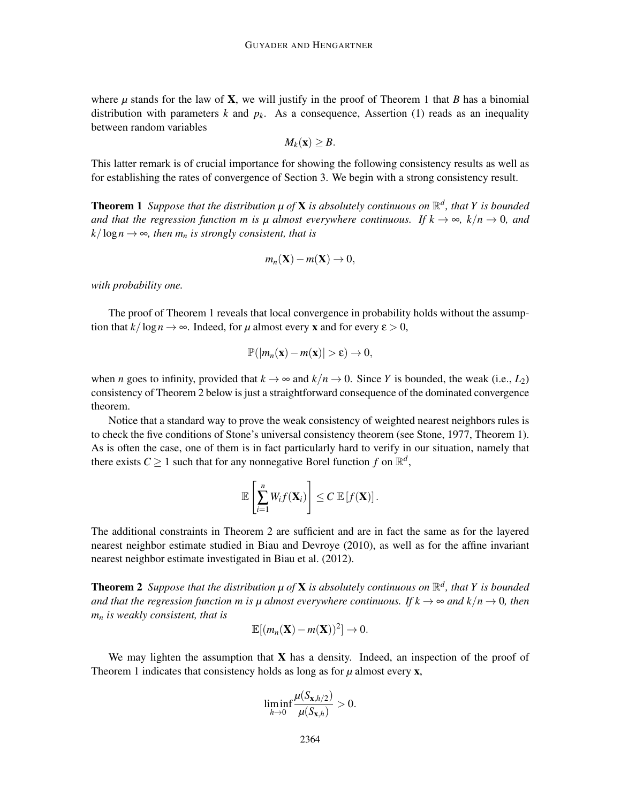where  $\mu$  stands for the law of **X**, we will justify in the proof of Theorem 1 that *B* has a binomial distribution with parameters *k* and  $p_k$ . As a consequence, Assertion (1) reads as an inequality between random variables

$$
M_k(\mathbf{x}) \geq B.
$$

This latter remark is of crucial importance for showing the following consistency results as well as for establishing the rates of convergence of Section 3. We begin with a strong consistency result.

**Theorem 1** Suppose that the distribution  $\mu$  of **X** is absolutely continuous on  $\mathbb{R}^d$ , that Y is bounded *and that the regression function m is u almost everywhere continuous. If*  $k \to \infty$ ,  $k/n \to 0$ , and  $k/\log n \rightarrow \infty$ *, then m<sub>n</sub> is strongly consistent, that is* 

$$
m_n(\mathbf{X}) - m(\mathbf{X}) \to 0,
$$

*with probability one.*

The proof of Theorem 1 reveals that local convergence in probability holds without the assumption that  $k/\log n \to \infty$ . Indeed, for  $\mu$  almost every **x** and for every  $\epsilon > 0$ ,

$$
\mathbb{P}(|m_n(\mathbf{x})-m(\mathbf{x})|>\varepsilon)\to 0,
$$

when *n* goes to infinity, provided that  $k \to \infty$  and  $k/n \to 0$ . Since *Y* is bounded, the weak (i.e., *L*<sub>2</sub>) consistency of Theorem 2 below is just a straightforward consequence of the dominated convergence theorem.

Notice that a standard way to prove the weak consistency of weighted nearest neighbors rules is to check the five conditions of Stone's universal consistency theorem (see Stone, 1977, Theorem 1). As is often the case, one of them is in fact particularly hard to verify in our situation, namely that there exists  $C \geq 1$  such that for any nonnegative Borel function  $f$  on  $\mathbb{R}^d$ ,

$$
\mathbb{E}\left[\sum_{i=1}^n W_i f(\mathbf{X}_i)\right] \leq C \mathbb{E}\left[f(\mathbf{X})\right].
$$

The additional constraints in Theorem 2 are sufficient and are in fact the same as for the layered nearest neighbor estimate studied in Biau and Devroye (2010), as well as for the affine invariant nearest neighbor estimate investigated in Biau et al. (2012).

**Theorem 2** Suppose that the distribution  $\mu$  of **X** is absolutely continuous on  $\mathbb{R}^d$ , that Y is bounded *and that the regression function m is*  $\mu$  *almost everywhere continuous. If*  $k \to \infty$  *and*  $k/n \to 0$ *, then m<sup>n</sup> is weakly consistent, that is*

$$
\mathbb{E}[(m_n(\mathbf{X})-m(\mathbf{X}))^2]\to 0.
$$

We may lighten the assumption that  $X$  has a density. Indeed, an inspection of the proof of Theorem 1 indicates that consistency holds as long as for *µ* almost every **x**,

$$
\liminf_{h\to 0}\frac{\mu(S_{\mathbf{x},h/2})}{\mu(S_{\mathbf{x},h})}>0.
$$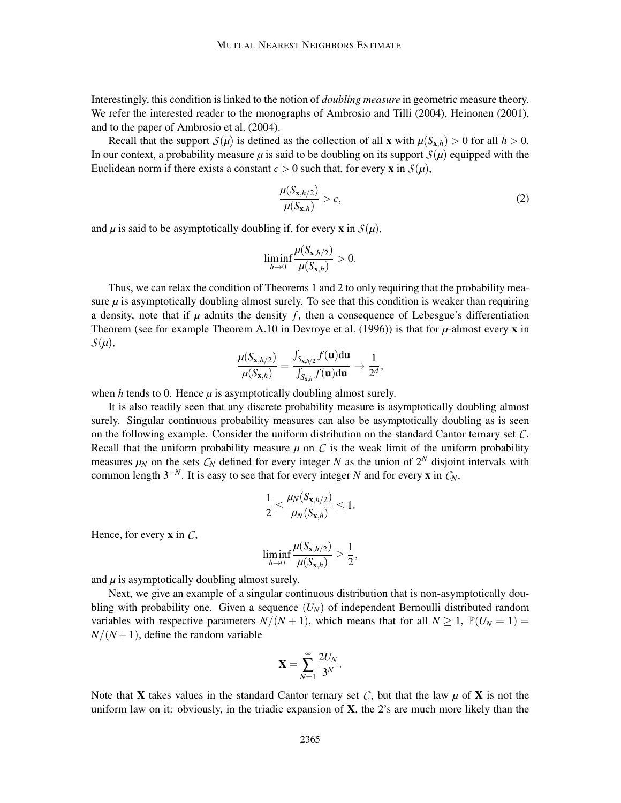Interestingly, this condition is linked to the notion of *doubling measure* in geometric measure theory. We refer the interested reader to the monographs of Ambrosio and Tilli (2004), Heinonen (2001), and to the paper of Ambrosio et al. (2004).

Recall that the support  $S(\mu)$  is defined as the collection of all **x** with  $\mu(S_{\mathbf{x},h}) > 0$  for all  $h > 0$ . In our context, a probability measure  $\mu$  is said to be doubling on its support  $S(\mu)$  equipped with the Euclidean norm if there exists a constant  $c > 0$  such that, for every **x** in  $S(\mu)$ ,

$$
\frac{\mu(S_{\mathbf{x},h/2})}{\mu(S_{\mathbf{x},h})} > c,\tag{2}
$$

and  $\mu$  is said to be asymptotically doubling if, for every **x** in  $S(\mu)$ ,

$$
\liminf_{h\to 0}\frac{\mu(S_{\mathbf{x},h/2})}{\mu(S_{\mathbf{x},h})}>0.
$$

Thus, we can relax the condition of Theorems 1 and 2 to only requiring that the probability measure  $\mu$  is asymptotically doubling almost surely. To see that this condition is weaker than requiring a density, note that if  $\mu$  admits the density  $f$ , then a consequence of Lebesgue's differentiation Theorem (see for example Theorem A.10 in Devroye et al. (1996)) is that for  $\mu$ -almost every **x** in  $S(\mu)$ ,

$$
\frac{\mu(S_{\mathbf{x},h/2})}{\mu(S_{\mathbf{x},h})} = \frac{\int_{S_{\mathbf{x},h/2}} f(\mathbf{u}) d\mathbf{u}}{\int_{S_{\mathbf{x},h}} f(\mathbf{u}) d\mathbf{u}} \to \frac{1}{2^d},
$$

when  $h$  tends to 0. Hence  $\mu$  is asymptotically doubling almost surely.

It is also readily seen that any discrete probability measure is asymptotically doubling almost surely. Singular continuous probability measures can also be asymptotically doubling as is seen on the following example. Consider the uniform distribution on the standard Cantor ternary set *C*. Recall that the uniform probability measure  $\mu$  on  $C$  is the weak limit of the uniform probability measures  $\mu_N$  on the sets  $C_N$  defined for every integer N as the union of  $2^N$  disjoint intervals with common length  $3^{-N}$ . It is easy to see that for every integer *N* and for every **x** in  $C_N$ ,

$$
\frac{1}{2} \leq \frac{\mu_N(S_{\mathbf{x},h/2})}{\mu_N(S_{\mathbf{x},h})} \leq 1.
$$

Hence, for every x in *C*,

$$
\liminf_{h\to 0}\frac{\mu(S_{\mathbf{x},h/2})}{\mu(S_{\mathbf{x},h})}\geq \frac{1}{2},
$$

and  $\mu$  is asymptotically doubling almost surely.

Next, we give an example of a singular continuous distribution that is non-asymptotically doubling with probability one. Given a sequence (*UN*) of independent Bernoulli distributed random variables with respective parameters  $N/(N+1)$ , which means that for all  $N \ge 1$ ,  $\mathbb{P}(U_N = 1) =$  $N/(N+1)$ , define the random variable

$$
\mathbf{X} = \sum_{N=1}^{\infty} \frac{2U_N}{3^N}.
$$

Note that **X** takes values in the standard Cantor ternary set C, but that the law  $\mu$  of **X** is not the uniform law on it: obviously, in the triadic expansion of  $X$ , the 2's are much more likely than the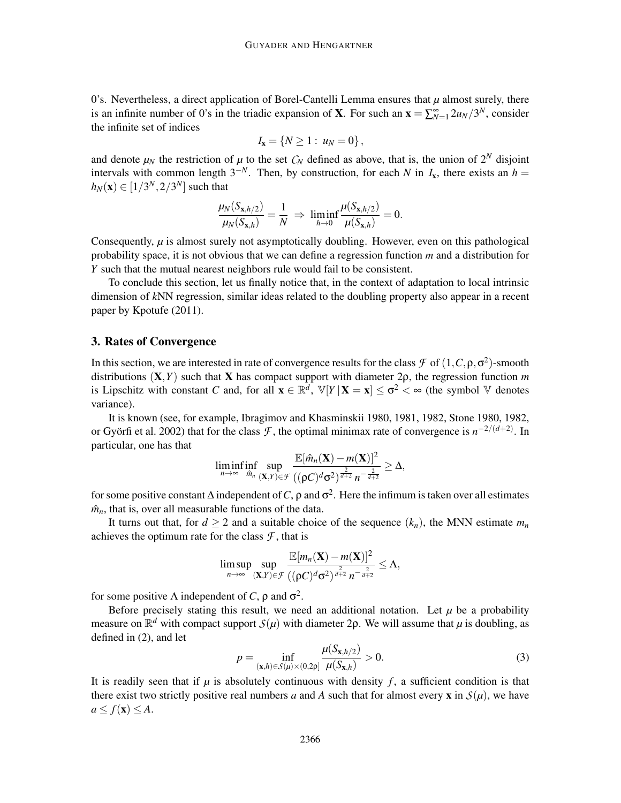0's. Nevertheless, a direct application of Borel-Cantelli Lemma ensures that  $\mu$  almost surely, there is an infinite number of 0's in the triadic expansion of **X**. For such an  $\mathbf{x} = \sum_{N=1}^{\infty} 2u_N/3^N$ , consider the infinite set of indices

$$
I_{\mathbf{x}} = \{ N \geq 1 : u_N = 0 \},\,
$$

and denote  $\mu_N$  the restriction of  $\mu$  to the set  $C_N$  defined as above, that is, the union of  $2^N$  disjoint intervals with common length  $3^{-N}$ . Then, by construction, for each *N* in  $I_x$ , there exists an  $h =$  $h_N(\mathbf{x}) \in [1/3^N, 2/3^N]$  such that

$$
\frac{\mu_N(S_{\mathbf{x},h/2})}{\mu_N(S_{\mathbf{x},h})} = \frac{1}{N} \Rightarrow \liminf_{h\to 0} \frac{\mu(S_{\mathbf{x},h/2})}{\mu(S_{\mathbf{x},h})} = 0.
$$

Consequently, *µ* is almost surely not asymptotically doubling. However, even on this pathological probability space, it is not obvious that we can define a regression function *m* and a distribution for *Y* such that the mutual nearest neighbors rule would fail to be consistent.

To conclude this section, let us finally notice that, in the context of adaptation to local intrinsic dimension of *k*NN regression, similar ideas related to the doubling property also appear in a recent paper by Kpotufe (2011).

#### 3. Rates of Convergence

In this section, we are interested in rate of convergence results for the class  $\mathcal F$  of  $(1, C, \rho, \sigma^2)$ -smooth distributions (X,*Y*) such that X has compact support with diameter 2ρ, the regression function *m* is Lipschitz with constant *C* and, for all  $\mathbf{x} \in \mathbb{R}^d$ ,  $\mathbb{V}[Y | \mathbf{X} = \mathbf{x}] \le \sigma^2 < \infty$  (the symbol  $\mathbb{V}$  denotes variance).

It is known (see, for example, Ibragimov and Khasminskii 1980, 1981, 1982, Stone 1980, 1982, or Györfi et al. 2002) that for the class  $\mathcal{F}$ , the optimal minimax rate of convergence is  $n^{-2/(d+2)}$ . In particular, one has that

$$
\liminf_{n\to\infty}\inf_{\hat{m}_n}\sup_{(\mathbf{X},Y)\in\mathcal{F}}\frac{\mathbb{E}[\hat{m}_n(\mathbf{X})-m(\mathbf{X})]^2}{((\rho C)^d\sigma^2)^{\frac{2}{d+2}}n^{-\frac{2}{d+2}}}\geq\Delta,
$$

for some positive constant  $\Delta$  independent of C,  $\rho$  and  $\sigma^2$ . Here the infimum is taken over all estimates  $\hat{m}_n$ , that is, over all measurable functions of the data.

It turns out that, for  $d \ge 2$  and a suitable choice of the sequence  $(k_n)$ , the MNN estimate  $m_n$ achieves the optimum rate for the class  $\mathcal F$ , that is

$$
\limsup_{n\to\infty}\sup_{(\mathbf{X},Y)\in\mathcal{F}}\frac{\mathbb{E}[m_n(\mathbf{X})-m(\mathbf{X})]^2}{((\rho C)^d\sigma^2)^{\frac{2}{d+2}}n^{-\frac{2}{d+2}}}\leq\Lambda,
$$

for some positive Λ independent of *C*,  $\rho$  and  $\sigma^2$ .

Before precisely stating this result, we need an additional notation. Let  $\mu$  be a probability measure on  $\mathbb{R}^d$  with compact support  $S(\mu)$  with diameter 2p. We will assume that  $\mu$  is doubling, as defined in (2), and let

$$
p = \inf_{(\mathbf{x},h) \in S(\mu) \times (0,2p]} \frac{\mu(S_{\mathbf{x},h/2})}{\mu(S_{\mathbf{x},h})} > 0.
$$
 (3)

It is readily seen that if  $\mu$  is absolutely continuous with density  $f$ , a sufficient condition is that there exist two strictly positive real numbers *a* and *A* such that for almost every **x** in  $S(\mu)$ , we have  $a \leq f(\mathbf{x}) \leq A$ .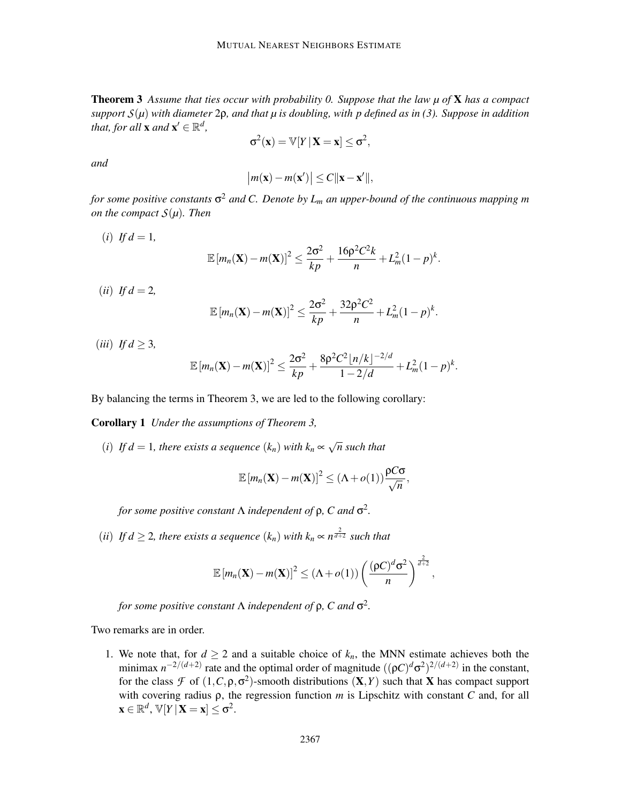Theorem 3 *Assume that ties occur with probability 0. Suppose that the law µ of* X *has a compact support S*(*µ*) *with diameter* 2ρ*, and that µ is doubling, with p defined as in (3). Suppose in addition that, for all* **x** *and* **x**<sup> $\prime$ </sup>  $\in \mathbb{R}^d$ *,* 

$$
\sigma^2(\mathbf{x}) = \mathbb{V}[Y \,|\, \mathbf{X} = \mathbf{x}] \leq \sigma^2,
$$

*and*

$$
|m(\mathbf{x}) - m(\mathbf{x}')| \le C \|\mathbf{x} - \mathbf{x}'\|,
$$

*for some positive constants* σ <sup>2</sup> *and C. Denote by L<sup>m</sup> an upper-bound of the continuous mapping m on the compact*  $S(\mu)$ *. Then* 

- $(i)$  *If d* = 1,  $\mathbb{E}\left[m_n(\mathbf{X})-m(\mathbf{X})\right]^2 \leq \frac{2\sigma^2}{kn}$  $\frac{2\sigma^2}{kp}$  +  $\frac{16ρ^2C^2k}{n}$  $\frac{C}{n} + L_m^2 (1-p)^k$ .
- $(ii)$  *If d* = 2,

$$
\mathbb{E}\left[m_n(\mathbf{X})-m(\mathbf{X})\right]^2 \leq \frac{2\sigma^2}{kp} + \frac{32\rho^2C^2}{n} + L_m^2(1-p)^k
$$

.

(*iii*) *If d*  $\geq$  3*,* 

$$
\mathbb{E}\left[m_n(\mathbf{X})-m(\mathbf{X})\right]^2 \leq \frac{2\sigma^2}{kp} + \frac{8p^2C^2\left[n/k\right]^{-2/d}}{1-2/d} + L_m^2(1-p)^k.
$$

By balancing the terms in Theorem 3, we are led to the following corollary:

Corollary 1 *Under the assumptions of Theorem 3,*

(*i*) If  $d = 1$ , there exists a sequence  $(k_n)$  with  $k_n \propto \sqrt{n}$  such that

$$
\mathbb{E}[m_n(\mathbf{X}) - m(\mathbf{X})]^2 \leq (\Lambda + o(1)) \frac{\rho C \sigma}{\sqrt{n}},
$$

*for some positive constant* Λ *independent of* ρ*, C and* σ 2 *.*

(*ii*) *If d*  $\geq$  2*, there exists a sequence*  $(k_n)$  *with*  $k_n \propto n^{\frac{2}{d+2}}$  *such that* 

$$
\mathbb{E}\left[m_n(\mathbf{X})-m(\mathbf{X})\right]^2 \leq \left(\Lambda + o(1)\right) \left(\frac{(\rho C)^d \sigma^2}{n}\right)^{\frac{2}{d+2}},
$$

*for some positive constant* Λ *independent of* ρ*, C and* σ 2 *.*

Two remarks are in order.

1. We note that, for  $d \geq 2$  and a suitable choice of  $k_n$ , the MNN estimate achieves both the minimax  $n^{-2/(d+2)}$  rate and the optimal order of magnitude  $((\rho C)^d \sigma^2)^{2/(d+2)}$  in the constant, for the class  $\mathcal F$  of  $(1, C, \rho, \sigma^2)$ -smooth distributions  $(X, Y)$  such that X has compact support with covering radius ρ, the regression function *m* is Lipschitz with constant *C* and, for all  $\mathbf{x} \in \mathbb{R}^d$ ,  $\mathbb{V}[Y | \mathbf{X} = \mathbf{x}] \leq \sigma^2$ .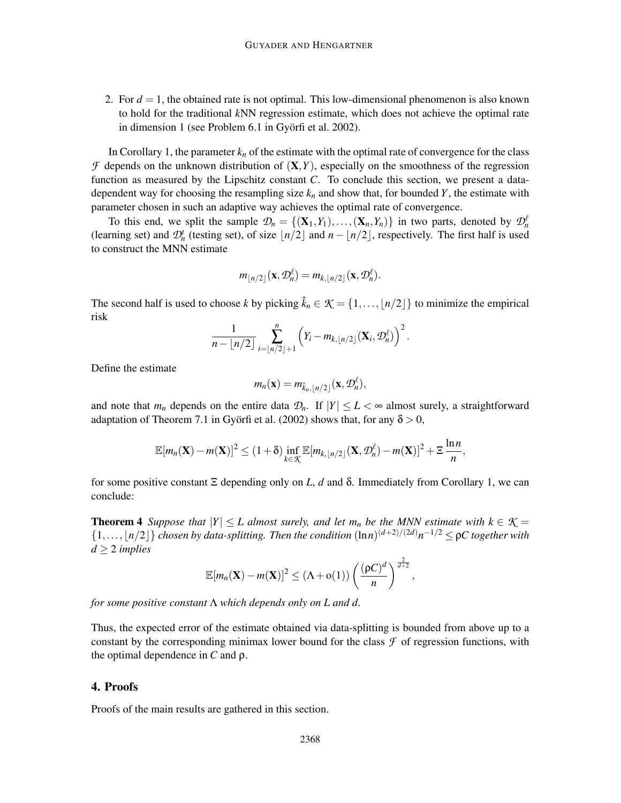2. For  $d = 1$ , the obtained rate is not optimal. This low-dimensional phenomenon is also known to hold for the traditional *k*NN regression estimate, which does not achieve the optimal rate in dimension 1 (see Problem 6.1 in Györfi et al. 2002).

In Corollary 1, the parameter  $k_n$  of the estimate with the optimal rate of convergence for the class  $\mathcal F$  depends on the unknown distribution of  $(X, Y)$ , especially on the smoothness of the regression function as measured by the Lipschitz constant *C*. To conclude this section, we present a datadependent way for choosing the resampling size  $k_n$  and show that, for bounded Y, the estimate with parameter chosen in such an adaptive way achieves the optimal rate of convergence.

To this end, we split the sample  $\mathcal{D}_n = \{(\mathbf{X}_1, Y_1), \ldots, (\mathbf{X}_n, Y_n)\}\$ in two parts, denoted by  $\mathcal{D}_n^{\ell}$ (learning set) and  $\mathcal{D}_n^t$  (testing set), of size  $\lfloor n/2 \rfloor$  and  $n - \lfloor n/2 \rfloor$ , respectively. The first half is used to construct the MNN estimate

$$
m_{\lfloor n/2\rfloor}(\mathbf{x},\mathcal{D}_n^{\ell})=m_{k,\lfloor n/2\rfloor}(\mathbf{x},\mathcal{D}_n^{\ell}).
$$

The second half is used to choose *k* by picking  $\hat{k}_n \in \mathcal{K} = \{1, \ldots, |n/2|\}$  to minimize the empirical risk

$$
\frac{1}{n - \lfloor n/2 \rfloor} \sum_{i = \lfloor n/2 \rfloor + 1}^{n} \left( Y_i - m_{k, \lfloor n/2 \rfloor} (\mathbf{X}_i, \mathcal{D}_n^{\ell}) \right)^2.
$$

Define the estimate

$$
m_n(\mathbf{x}) = m_{\hat{k}_n, \lfloor n/2 \rfloor}(\mathbf{x}, \mathcal{D}_n^{\ell}),
$$

and note that  $m_n$  depends on the entire data  $\mathcal{D}_n$ . If  $|Y| \leq L < \infty$  almost surely, a straightforward adaptation of Theorem 7.1 in Györfi et al. (2002) shows that, for any  $\delta > 0$ ,

$$
\mathbb{E}[m_n(\mathbf{X})-m(\mathbf{X})]^2 \leq (1+\delta) \inf_{k \in \mathcal{K}} \mathbb{E}[m_{k, \lfloor n/2 \rfloor}(\mathbf{X}, \mathcal{D}_n^{\ell})-m(\mathbf{X})]^2 + \Xi \frac{\ln n}{n},
$$

for some positive constant Ξ depending only on *L*, *d* and δ. Immediately from Corollary 1, we can conclude:

**Theorem 4** *Suppose that*  $|Y| \leq L$  *almost surely, and let*  $m_n$  *be the MNN estimate with*  $k \in \mathcal{K}$  =  $\{1,\ldots,\lfloor n/2\rfloor\}$  *chosen by data-splitting. Then the condition*  $(\ln n)^{(d+2)/(2d)}n^{-1/2} \leq \rho C$  together with  $d \geq 2$  *implies* 

$$
\mathbb{E}[m_n(\mathbf{X}) - m(\mathbf{X})]^2 \leq (\Lambda + o(1)) \left( \frac{(\rho C)^d}{n} \right)^{\frac{2}{d+2}},
$$

*for some positive constant* Λ *which depends only on L and d.*

Thus, the expected error of the estimate obtained via data-splitting is bounded from above up to a constant by the corresponding minimax lower bound for the class  $\mathcal F$  of regression functions, with the optimal dependence in *C* and ρ.

### 4. Proofs

Proofs of the main results are gathered in this section.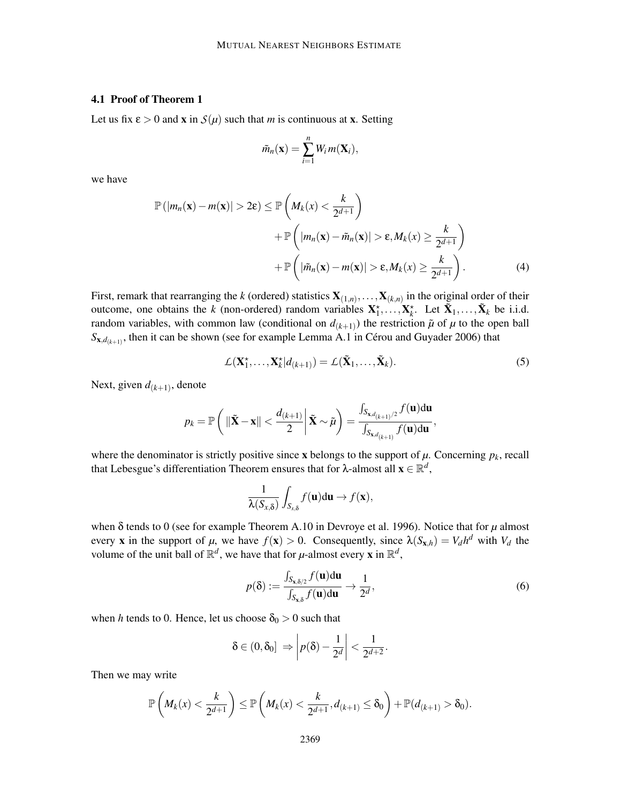## 4.1 Proof of Theorem 1

Let us fix  $\varepsilon > 0$  and **x** in  $S(\mu)$  such that *m* is continuous at **x**. Setting

$$
\tilde{m}_n(\mathbf{x}) = \sum_{i=1}^n W_i m(\mathbf{X}_i),
$$

we have

$$
\mathbb{P}(|m_n(\mathbf{x}) - m(\mathbf{x})| > 2\varepsilon) \le \mathbb{P}\left(M_k(x) < \frac{k}{2^{d+1}}\right) \\
 \quad + \mathbb{P}\left(|m_n(\mathbf{x}) - \tilde{m}_n(\mathbf{x})| > \varepsilon, M_k(x) \ge \frac{k}{2^{d+1}}\right) \\
 \quad + \mathbb{P}\left(|\tilde{m}_n(\mathbf{x}) - m(\mathbf{x})| > \varepsilon, M_k(x) \ge \frac{k}{2^{d+1}}\right). \tag{4}
$$

First, remark that rearranging the *k* (ordered) statistics  $X_{(1,n)},\ldots,X_{(k,n)}$  in the original order of their outcome, one obtains the *k* (non-ordered) random variables  $X_1^*, \ldots, X_k^*$ . Let  $\tilde{X}_1, \ldots, \tilde{X}_k$  be i.i.d. random variables, with common law (conditional on  $d_{(k+1)}$ ) the restriction  $\tilde{\mu}$  of  $\mu$  to the open ball  $S_{\mathbf{x},d_{(k+1)}}$ , then it can be shown (see for example Lemma A.1 in Cérou and Guyader 2006) that

$$
\mathcal{L}(\mathbf{X}_1^{\star},\ldots,\mathbf{X}_k^{\star}|d_{(k+1)}) = \mathcal{L}(\tilde{\mathbf{X}}_1,\ldots,\tilde{\mathbf{X}}_k). \tag{5}
$$

Next, given  $d_{(k+1)}$ , denote

$$
p_k = \mathbb{P}\left(\left\|\tilde{\mathbf{X}} - \mathbf{x}\right\| < \frac{d_{(k+1)}}{2}\middle|\tilde{\mathbf{X}} \sim \tilde{\mu}\right) = \frac{\int_{S_{\mathbf{x},d_{(k+1)}/2}} f(\mathbf{u}) d\mathbf{u}}{\int_{S_{\mathbf{x},d_{(k+1)}}} f(\mathbf{u}) d\mathbf{u}},
$$

where the denominator is strictly positive since **x** belongs to the support of  $\mu$ . Concerning  $p_k$ , recall that Lebesgue's differentiation Theorem ensures that for  $\lambda$ -almost all  $\mathbf{x} \in \mathbb{R}^d$ ,

$$
\frac{1}{\lambda(S_{x,\delta})}\int_{S_{x,\delta}}f(\mathbf{u})d\mathbf{u}\to f(\mathbf{x}),
$$

when δ tends to 0 (see for example Theorem A.10 in Devroye et al. 1996). Notice that for *µ* almost every **x** in the support of  $\mu$ , we have  $f(\mathbf{x}) > 0$ . Consequently, since  $\lambda(S_{\mathbf{x},h}) = V_d h^d$  with  $V_d$  the volume of the unit ball of  $\mathbb{R}^d$ , we have that for  $\mu$ -almost every **x** in  $\mathbb{R}^d$ ,

$$
p(\delta) := \frac{\int_{S_{\mathbf{x},\delta/2}} f(\mathbf{u}) d\mathbf{u}}{\int_{S_{\mathbf{x},\delta}} f(\mathbf{u}) d\mathbf{u}} \to \frac{1}{2^d},
$$
(6)

when *h* tends to 0. Hence, let us choose  $\delta_0 > 0$  such that

$$
\delta \in (0, \delta_0] \Rightarrow \left| p(\delta) - \frac{1}{2^d} \right| < \frac{1}{2^{d+2}}.
$$

Then we may write

$$
\mathbb{P}\left(M_k(x)<\frac{k}{2^{d+1}}\right)\leq \mathbb{P}\left(M_k(x)<\frac{k}{2^{d+1}},d_{(k+1)}\leq \delta_0\right)+\mathbb{P}(d_{(k+1)}>\delta_0).
$$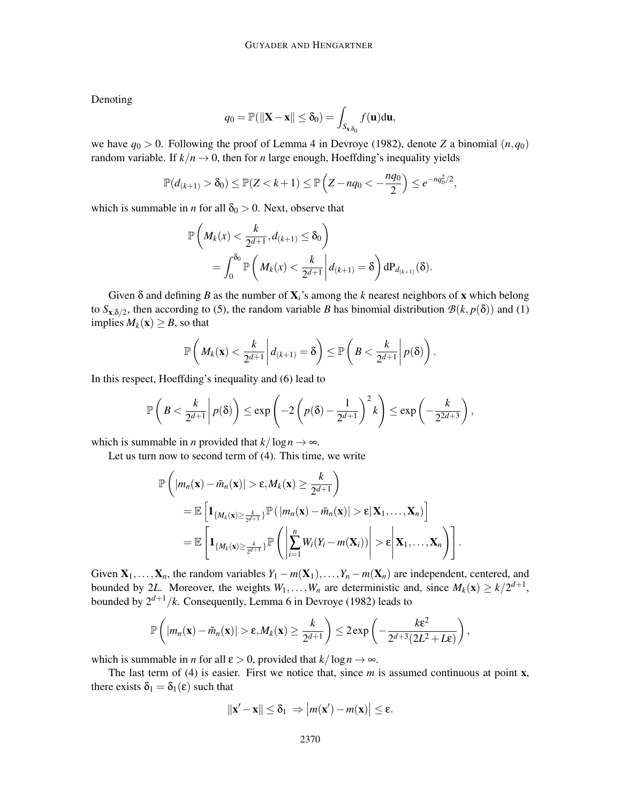Denoting

$$
q_0 = \mathbb{P}(\|\mathbf{X} - \mathbf{x}\| \le \delta_0) = \int_{S_{\mathbf{x},\delta_0}} f(\mathbf{u}) d\mathbf{u},
$$

we have  $q_0 > 0$ . Following the proof of Lemma 4 in Devroye (1982), denote *Z* a binomial  $(n, q_0)$ random variable. If  $k/n \to 0$ , then for *n* large enough, Hoeffding's inequality yields

$$
\mathbb{P}(d_{(k+1)} > \delta_0) \le \mathbb{P}(Z < k+1) \le \mathbb{P}\left(Z - nq_0 < -\frac{nq_0}{2}\right) \le e^{-nq_0^2/2},
$$

which is summable in *n* for all  $\delta_0 > 0$ . Next, observe that

$$
\mathbb{P}\left(M_k(x) < \frac{k}{2^{d+1}}, d_{(k+1)} \le \delta_0\right) \\
= \int_0^{\delta_0} \mathbb{P}\left(M_k(x) < \frac{k}{2^{d+1}} \middle| d_{(k+1)} = \delta\right) dP_{d_{(k+1)}}(\delta).
$$

Given δ and defining *B* as the number of X*i*'s among the *k* nearest neighbors of x which belong to  $S_{\mathbf{x},\delta/2}$ , then according to (5), the random variable *B* has binomial distribution  $\mathcal{B}(k, p(\delta))$  and (1) implies  $M_k(\mathbf{x}) \geq B$ , so that

$$
\mathbb{P}\left(M_k(\mathbf{x}) < \frac{k}{2^{d+1}} \middle| d_{(k+1)} = \delta\right) \le \mathbb{P}\left(B < \frac{k}{2^{d+1}} \middle| p(\delta)\right).
$$

In this respect, Hoeffding's inequality and (6) lead to

$$
\mathbb{P}\left(B < \frac{k}{2^{d+1}}\middle| p(\delta)\right) \le \exp\left(-2\left(p(\delta)-\frac{1}{2^{d+1}}\right)^2k\right) \le \exp\left(-\frac{k}{2^{2d+3}}\right),
$$

which is summable in *n* provided that  $k/\log n \to \infty$ .

Let us turn now to second term of (4). This time, we write

$$
\mathbb{P}\left(\left|m_n(\mathbf{x}) - \tilde{m}_n(\mathbf{x})\right| > \varepsilon, M_k(\mathbf{x}) \geq \frac{k}{2^{d+1}}\right) \n= \mathbb{E}\left[\mathbf{1}_{\{M_k(\mathbf{x})\geq \frac{k}{2^{d+1}}\}}\mathbb{P}(\left|m_n(\mathbf{x}) - \tilde{m}_n(\mathbf{x})\right| > \varepsilon | \mathbf{X}_1, \ldots, \mathbf{X}_n)\right] \n= \mathbb{E}\left[\mathbf{1}_{\{M_k(\mathbf{x})\geq \frac{k}{2^{d+1}}\}}\mathbb{P}\left(\left|\sum_{i=1}^n W_i(Y_i - m(\mathbf{X}_i))\right| > \varepsilon \middle|\mathbf{X}_1, \ldots, \mathbf{X}_n\right)\right].
$$

Given  $X_1, \ldots, X_n$ , the random variables  $Y_1 - m(X_1), \ldots, Y_n - m(X_n)$  are independent, centered, and bounded by 2L. Moreover, the weights  $W_1, \ldots, W_n$  are deterministic and, since  $M_k(\mathbf{x}) \ge k/2^{d+1}$ , bounded by  $2^{d+1}/k$ . Consequently, Lemma 6 in Devroye (1982) leads to

$$
\mathbb{P}\left(\left|m_n(\mathbf{x}) - \tilde{m}_n(\mathbf{x})\right| > \varepsilon, M_k(\mathbf{x}) \ge \frac{k}{2^{d+1}}\right) \le 2 \exp\left(-\frac{k\varepsilon^2}{2^{d+3}(2L^2 + L\varepsilon)}\right),
$$

which is summable in *n* for all  $\varepsilon > 0$ , provided that  $k/\log n \to \infty$ .

The last term of (4) is easier. First we notice that, since *m* is assumed continuous at point **x**, there exists  $\delta_1 = \delta_1(\varepsilon)$  such that

$$
\|\mathbf{x}'-\mathbf{x}\|\leq \delta_1 \Rightarrow |m(\mathbf{x}')-m(\mathbf{x})|\leq \varepsilon.
$$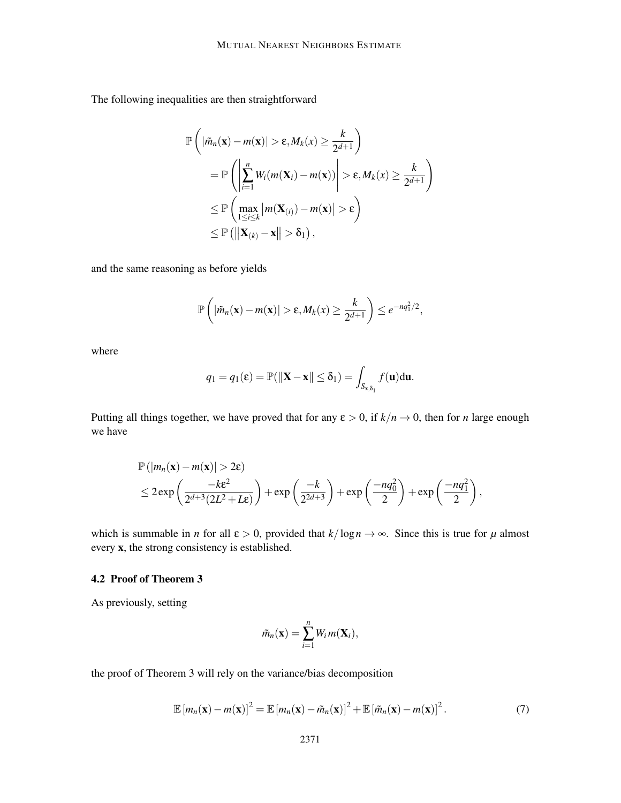The following inequalities are then straightforward

$$
\mathbb{P}\left(|\tilde{m}_n(\mathbf{x}) - m(\mathbf{x})| > \varepsilon, M_k(x) \ge \frac{k}{2^{d+1}}\right)
$$
\n
$$
= \mathbb{P}\left(\left|\sum_{i=1}^n W_i(m(\mathbf{X}_i) - m(\mathbf{x}))\right| > \varepsilon, M_k(x) \ge \frac{k}{2^{d+1}}\right)
$$
\n
$$
\le \mathbb{P}\left(\max_{1 \le i \le k} |m(\mathbf{X}_{(i)}) - m(\mathbf{x})| > \varepsilon\right)
$$
\n
$$
\le \mathbb{P}\left(\left|\left|\mathbf{X}_{(k)} - \mathbf{x}\right|\right| > \delta_1\right),
$$

and the same reasoning as before yields

$$
\mathbb{P}\left(|\tilde{m}_n(\mathbf{x})-m(\mathbf{x})|>\varepsilon,M_k(x)\geq \frac{k}{2^{d+1}}\right)\leq e^{-nq_1^2/2},
$$

where

$$
q_1 = q_1(\varepsilon) = \mathbb{P}(\|\mathbf{X} - \mathbf{x}\| \le \delta_1) = \int_{S_{\mathbf{x},\delta_1}} f(\mathbf{u}) d\mathbf{u}.
$$

Putting all things together, we have proved that for any  $\varepsilon > 0$ , if  $k/n \to 0$ , then for *n* large enough we have

$$
\mathbb{P}(|m_n(\mathbf{x}) - m(\mathbf{x})| > 2\varepsilon)
$$
  
\n
$$
\leq 2 \exp\left(\frac{-k\varepsilon^2}{2^{d+3}(2L^2 + L\varepsilon)}\right) + \exp\left(\frac{-k}{2^{2d+3}}\right) + \exp\left(\frac{-nq_0^2}{2}\right) + \exp\left(\frac{-nq_1^2}{2}\right),
$$

which is summable in *n* for all  $\varepsilon > 0$ , provided that  $k/\log n \to \infty$ . Since this is true for  $\mu$  almost every x, the strong consistency is established.

## 4.2 Proof of Theorem 3

As previously, setting

$$
\tilde{m}_n(\mathbf{x}) = \sum_{i=1}^n W_i m(\mathbf{X}_i),
$$

the proof of Theorem 3 will rely on the variance/bias decomposition

$$
\mathbb{E}\left[m_n(\mathbf{x}) - m(\mathbf{x})\right]^2 = \mathbb{E}\left[m_n(\mathbf{x}) - \tilde{m}_n(\mathbf{x})\right]^2 + \mathbb{E}\left[\tilde{m}_n(\mathbf{x}) - m(\mathbf{x})\right]^2. \tag{7}
$$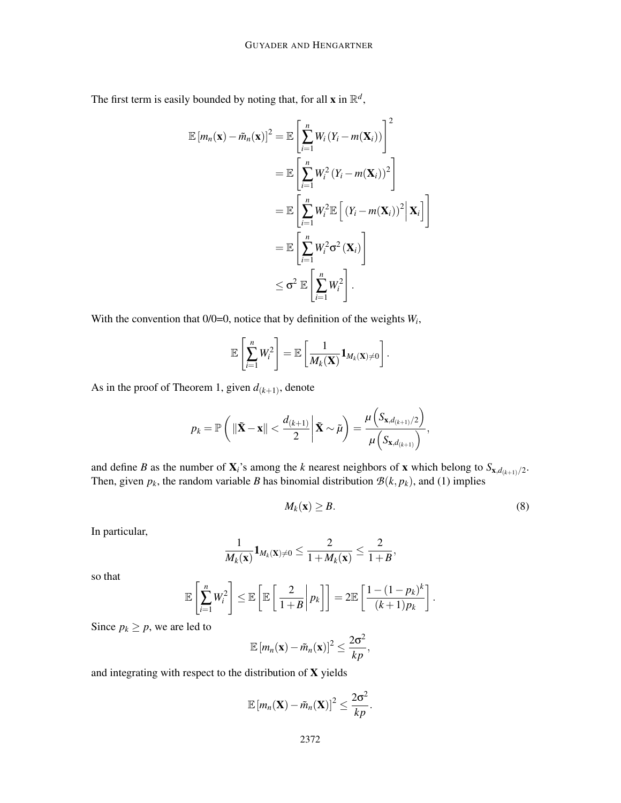The first term is easily bounded by noting that, for all **x** in  $\mathbb{R}^d$ ,

$$
\mathbb{E}\left[m_n(\mathbf{x}) - \tilde{m}_n(\mathbf{x})\right]^2 = \mathbb{E}\left[\sum_{i=1}^n W_i (Y_i - m(\mathbf{X}_i))\right]^2
$$
  
\n
$$
= \mathbb{E}\left[\sum_{i=1}^n W_i^2 (Y_i - m(\mathbf{X}_i))^2\right]
$$
  
\n
$$
= \mathbb{E}\left[\sum_{i=1}^n W_i^2 \mathbb{E}\left[(Y_i - m(\mathbf{X}_i))^2 \Big|\mathbf{X}_i\right]\right]
$$
  
\n
$$
= \mathbb{E}\left[\sum_{i=1}^n W_i^2 \sigma^2 (\mathbf{X}_i)\right]
$$
  
\n
$$
\leq \sigma^2 \mathbb{E}\left[\sum_{i=1}^n W_i^2\right].
$$

With the convention that  $0/0=0$ , notice that by definition of the weights  $W_i$ ,

$$
\mathbb{E}\left[\sum_{i=1}^n W_i^2\right] = \mathbb{E}\left[\frac{1}{M_k(\mathbf{X})}\mathbf{1}_{M_k(\mathbf{X})\neq 0}\right].
$$

As in the proof of Theorem 1, given  $d_{(k+1)}$ , denote

$$
p_k = \mathbb{P}\left(\left\|\tilde{\mathbf{X}} - \mathbf{x}\right\| < \frac{d_{(k+1)}}{2} \middle| \tilde{\mathbf{X}} \sim \tilde{\mu}\right) = \frac{\mu\left(S_{\mathbf{x},d_{(k+1)}/2}\right)}{\mu\left(S_{\mathbf{x},d_{(k+1)}}\right)},
$$

and define *B* as the number of  $\mathbf{X}_i$ 's among the *k* nearest neighbors of **x** which belong to  $S_{\mathbf{x},d_{(k+1)}/2}$ . Then, given  $p_k$ , the random variable *B* has binomial distribution  $B(k, p_k)$ , and (1) implies

$$
M_k(\mathbf{x}) \ge B. \tag{8}
$$

In particular,

$$
\frac{1}{M_k(\mathbf{x})}\mathbf{1}_{M_k(\mathbf{X})\neq 0}\leq \frac{2}{1+M_k(\mathbf{x})}\leq \frac{2}{1+B},
$$

so that

$$
\mathbb{E}\left[\sum_{i=1}^n W_i^2\right] \leq \mathbb{E}\left[\mathbb{E}\left[\left.\frac{2}{1+B}\right|p_k\right]\right] = 2\mathbb{E}\left[\frac{1-(1-p_k)^k}{(k+1)p_k}\right].
$$

Since  $p_k \geq p$ , we are led to

$$
\mathbb{E}[m_n(\mathbf{x}) - \tilde{m}_n(\mathbf{x})]^2 \leq \frac{2\sigma^2}{kp},
$$

and integrating with respect to the distribution of X yields

$$
\mathbb{E}\left[m_n(\mathbf{X}) - \tilde{m}_n(\mathbf{X})\right]^2 \leq \frac{2\sigma^2}{kp}.
$$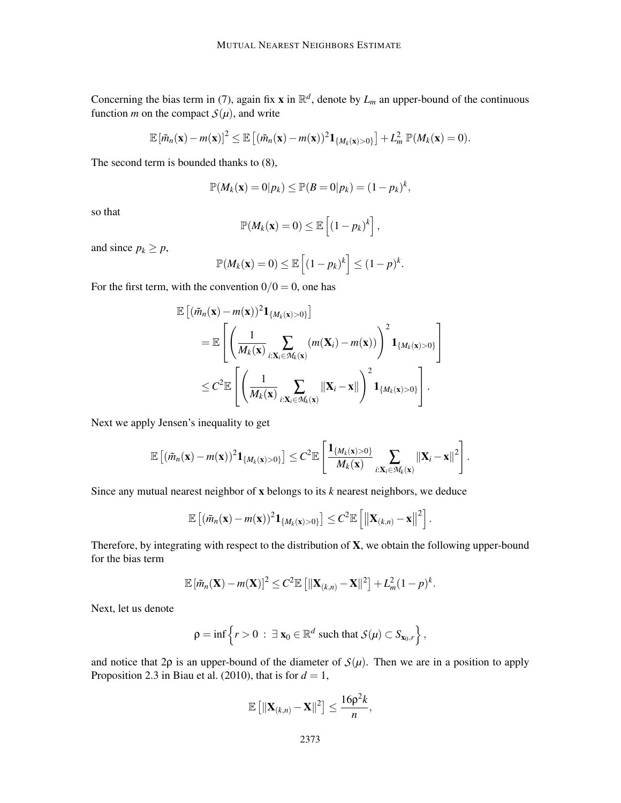Concerning the bias term in (7), again fix **x** in  $\mathbb{R}^d$ , denote by  $L_m$  an upper-bound of the continuous function *m* on the compact  $S(\mu)$ , and write

$$
\mathbb{E}\left[\tilde{m}_n(\mathbf{x})-m(\mathbf{x})\right]^2 \leq \mathbb{E}\left[\left(\tilde{m}_n(\mathbf{x})-m(\mathbf{x})\right)^2\mathbf{1}_{\{M_k(\mathbf{x})>0\}}\right] + L_m^2 \mathbb{P}(M_k(\mathbf{x})=0).
$$

The second term is bounded thanks to (8),

$$
\mathbb{P}(M_k(\mathbf{x})=0|p_k)\leq \mathbb{P}(B=0|p_k)=(1-p_k)^k,
$$

so that

$$
\mathbb{P}(M_k(\mathbf{x})=0)\leq \mathbb{E}\left[(1-p_k)^k\right],
$$

and since  $p_k \geq p$ ,

$$
\mathbb{P}(M_k(\mathbf{x})=0) \leq \mathbb{E}\left[(1-p_k)^k\right] \leq (1-p)^k.
$$

For the first term, with the convention  $0/0 = 0$ , one has

$$
\mathbb{E}\left[(\tilde{m}_n(\mathbf{x}) - m(\mathbf{x}))^2 \mathbf{1}_{\{M_k(\mathbf{x}) > 0\}}\right]
$$
  
\n
$$
= \mathbb{E}\left[\left(\frac{1}{M_k(\mathbf{x})}\sum_{i:X_i \in M_k(\mathbf{x})} (m(\mathbf{X}_i) - m(\mathbf{x}))\right)^2 \mathbf{1}_{\{M_k(\mathbf{x}) > 0\}}\right]
$$
  
\n
$$
\leq C^2 \mathbb{E}\left[\left(\frac{1}{M_k(\mathbf{x})}\sum_{i:X_i \in M_k(\mathbf{x})} \|\mathbf{X}_i - \mathbf{x}\|\right)^2 \mathbf{1}_{\{M_k(\mathbf{x}) > 0\}}\right].
$$

Next we apply Jensen's inequality to get

$$
\mathbb{E}\left[(\tilde{m}_n(\mathbf{x})-m(\mathbf{x}))^2\mathbf{1}_{\{M_k(\mathbf{x})>0\}}\right] \leq C^2 \mathbb{E}\left[\frac{\mathbf{1}_{\{M_k(\mathbf{x})>0\}}}{M_k(\mathbf{x})}\sum_{i:\mathbf{X}_i\in\mathcal{M}_k(\mathbf{x})}\|\mathbf{X}_i-\mathbf{x}\|^2\right].
$$

Since any mutual nearest neighbor of x belongs to its *k* nearest neighbors, we deduce

$$
\mathbb{E}\left[(\tilde{m}_n(\mathbf{x})-m(\mathbf{x}))^2\mathbf{1}_{\{M_k(\mathbf{x})>0\}}\right]\leq C^2\mathbb{E}\left[\left\|\mathbf{X}_{(k,n)}-\mathbf{x}\right\|^2\right].
$$

Therefore, by integrating with respect to the distribution of  $X$ , we obtain the following upper-bound for the bias term

$$
\mathbb{E}\left[\tilde{m}_n(\mathbf{X})-m(\mathbf{X})\right]^2 \leq C^2 \mathbb{E}\left[\|\mathbf{X}_{(k,n)}-\mathbf{X}\|^2\right] + L_m^2 (1-p)^k.
$$

Next, let us denote

$$
\rho = \inf \left\{ r > 0 \; : \; \exists \; \mathbf{x}_0 \in \mathbb{R}^d \text{ such that } \mathcal{S}(\mu) \subset S_{\mathbf{x}_0, r} \right\},\
$$

and notice that  $2\rho$  is an upper-bound of the diameter of  $S(\mu)$ . Then we are in a position to apply Proposition 2.3 in Biau et al. (2010), that is for  $d = 1$ ,

$$
\mathbb{E}\left[\|\mathbf{X}_{(k,n)}-\mathbf{X}\|^2\right] \leq \frac{16\rho^2k}{n},
$$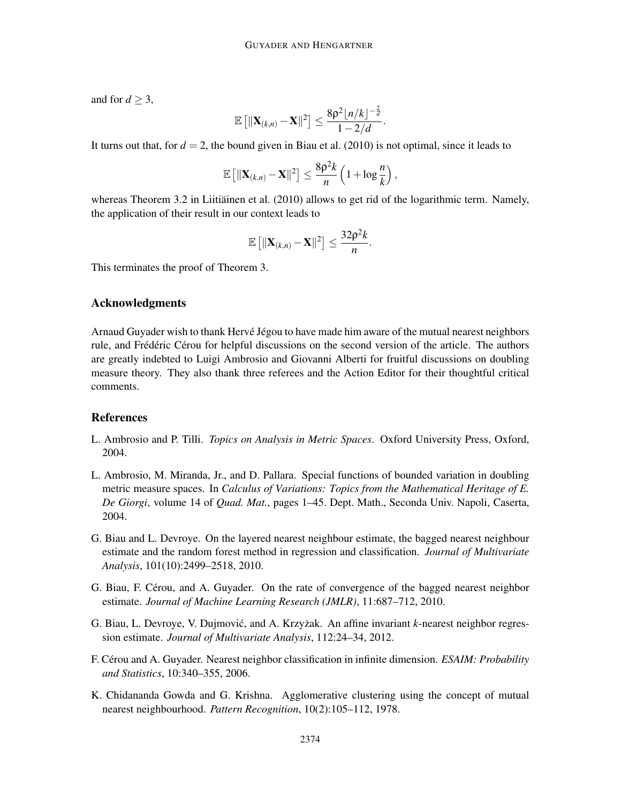and for  $d \geq 3$ ,

$$
\mathbb{E}\left[\|\mathbf{X}_{(k,n)}-\mathbf{X}\|^2\right] \leq \frac{8\rho^2\lfloor n/k\rfloor^{-\frac{2}{d}}}{1-2/d}.
$$

It turns out that, for  $d = 2$ , the bound given in Biau et al. (2010) is not optimal, since it leads to

$$
\mathbb{E}\left[\|\mathbf{X}_{(k,n)}-\mathbf{X}\|^2\right] \leq \frac{8p^2k}{n}\left(1+\log\frac{n}{k}\right),\,
$$

whereas Theorem 3.2 in Liitiainen et al.  $(2010)$  allows to get rid of the logarithmic term. Namely, the application of their result in our context leads to

$$
\mathbb{E}\left[\|\mathbf{X}_{(k,n)}-\mathbf{X}\|^2\right] \leq \frac{32p^2k}{n}.
$$

This terminates the proof of Theorem 3.

## Acknowledgments

Arnaud Guyader wish to thank Hervé Jégou to have made him aware of the mutual nearest neighbors rule, and Frédéric Cérou for helpful discussions on the second version of the article. The authors are greatly indebted to Luigi Ambrosio and Giovanni Alberti for fruitful discussions on doubling measure theory. They also thank three referees and the Action Editor for their thoughtful critical comments.

#### References

- L. Ambrosio and P. Tilli. *Topics on Analysis in Metric Spaces*. Oxford University Press, Oxford, 2004.
- L. Ambrosio, M. Miranda, Jr., and D. Pallara. Special functions of bounded variation in doubling metric measure spaces. In *Calculus of Variations: Topics from the Mathematical Heritage of E. De Giorgi*, volume 14 of *Quad. Mat.*, pages 1–45. Dept. Math., Seconda Univ. Napoli, Caserta, 2004.
- G. Biau and L. Devroye. On the layered nearest neighbour estimate, the bagged nearest neighbour estimate and the random forest method in regression and classification. *Journal of Multivariate Analysis*, 101(10):2499–2518, 2010.
- G. Biau, F. Cérou, and A. Guyader. On the rate of convergence of the bagged nearest neighbor estimate. *Journal of Machine Learning Research (JMLR)*, 11:687–712, 2010.
- G. Biau, L. Devroye, V. Dujmović, and A. Krzyżak. An affine invariant *k*-nearest neighbor regression estimate. *Journal of Multivariate Analysis*, 112:24–34, 2012.
- F. Cérou and A. Guyader. Nearest neighbor classification in infinite dimension. *ESAIM: Probability and Statistics*, 10:340–355, 2006.
- K. Chidananda Gowda and G. Krishna. Agglomerative clustering using the concept of mutual nearest neighbourhood. *Pattern Recognition*, 10(2):105–112, 1978.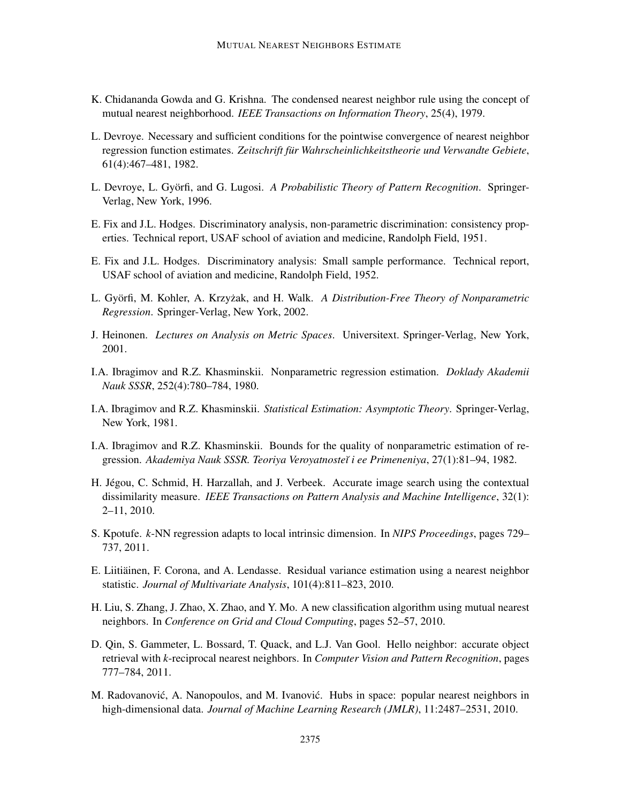- K. Chidananda Gowda and G. Krishna. The condensed nearest neighbor rule using the concept of mutual nearest neighborhood. *IEEE Transactions on Information Theory*, 25(4), 1979.
- L. Devroye. Necessary and sufficient conditions for the pointwise convergence of nearest neighbor regression function estimates. Zeitschrift für Wahrscheinlichkeitstheorie und Verwandte Gebiete, 61(4):467–481, 1982.
- L. Devroye, L. Györfi, and G. Lugosi. A *Probabilistic Theory of Pattern Recognition*. Springer-Verlag, New York, 1996.
- E. Fix and J.L. Hodges. Discriminatory analysis, non-parametric discrimination: consistency properties. Technical report, USAF school of aviation and medicine, Randolph Field, 1951.
- E. Fix and J.L. Hodges. Discriminatory analysis: Small sample performance. Technical report, USAF school of aviation and medicine, Randolph Field, 1952.
- L. Györfi, M. Kohler, A. Krzyżak, and H. Walk. *A Distribution-Free Theory of Nonparametric Regression*. Springer-Verlag, New York, 2002.
- J. Heinonen. *Lectures on Analysis on Metric Spaces*. Universitext. Springer-Verlag, New York, 2001.
- I.A. Ibragimov and R.Z. Khasminskii. Nonparametric regression estimation. *Doklady Akademii Nauk SSSR*, 252(4):780–784, 1980.
- I.A. Ibragimov and R.Z. Khasminskii. *Statistical Estimation: Asymptotic Theory*. Springer-Verlag, New York, 1981.
- I.A. Ibragimov and R.Z. Khasminskii. Bounds for the quality of nonparametric estimation of regression. *Akademiya Nauk SSSR. Teoriya Veroyatnoste˘ı i ee Primeneniya*, 27(1):81–94, 1982.
- H. Jégou, C. Schmid, H. Harzallah, and J. Verbeek. Accurate image search using the contextual dissimilarity measure. *IEEE Transactions on Pattern Analysis and Machine Intelligence*, 32(1): 2–11, 2010.
- S. Kpotufe. *k*-NN regression adapts to local intrinsic dimension. In *NIPS Proceedings*, pages 729– 737, 2011.
- E. Liitiäinen, F. Corona, and A. Lendasse. Residual variance estimation using a nearest neighbor statistic. *Journal of Multivariate Analysis*, 101(4):811–823, 2010.
- H. Liu, S. Zhang, J. Zhao, X. Zhao, and Y. Mo. A new classification algorithm using mutual nearest neighbors. In *Conference on Grid and Cloud Computing*, pages 52–57, 2010.
- D. Qin, S. Gammeter, L. Bossard, T. Quack, and L.J. Van Gool. Hello neighbor: accurate object retrieval with *k*-reciprocal nearest neighbors. In *Computer Vision and Pattern Recognition*, pages 777–784, 2011.
- M. Radovanović, A. Nanopoulos, and M. Ivanović. Hubs in space: popular nearest neighbors in high-dimensional data. *Journal of Machine Learning Research (JMLR)*, 11:2487–2531, 2010.